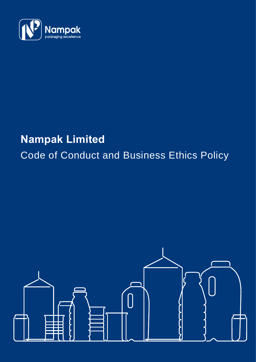

## **Nampak Limited**

# Code of Conduct and Business Ethics Policy

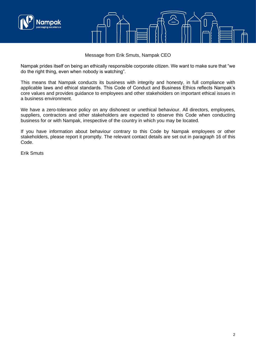

Message from Erik Smuts, Nampak CEO

Nampak prides itself on being an ethically responsible corporate citizen. We want to make sure that "we do the right thing, even when nobody is watching".

This means that Nampak conducts its business with integrity and honesty, in full compliance with applicable laws and ethical standards. This Code of Conduct and Business Ethics reflects Nampak's core values and provides guidance to employees and other stakeholders on important ethical issues in a business environment.

We have a zero-tolerance policy on any dishonest or unethical behaviour. All directors, employees, suppliers, contractors and other stakeholders are expected to observe this Code when conducting business for or with Nampak, irrespective of the country in which you may be located.

If you have information about behaviour contrary to this Code by Nampak employees or other stakeholders, please report it promptly. The relevant contact details are set out in paragraph 16 of this Code.

Erik Smuts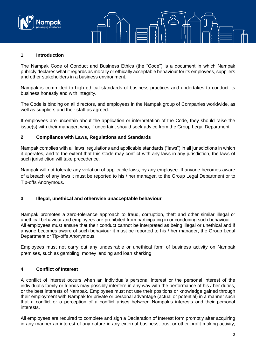

#### **1. Introduction**

The Nampak Code of Conduct and Business Ethics (the "Code") is a document in which Nampak publicly declares what it regards as morally or ethically acceptable behaviour for its employees, suppliers and other stakeholders in a business environment.

Nampak is committed to high ethical standards of business practices and undertakes to conduct its business honestly and with integrity.

The Code is binding on all directors, and employees in the Nampak group of Companies worldwide, as well as suppliers and their staff as agreed.

If employees are uncertain about the application or interpretation of the Code, they should raise the issue(s) with their manager, who, if uncertain, should seek advice from the Group Legal Department.

#### **2. Compliance with Laws, Regulations and Standards**

Nampak complies with all laws, regulations and applicable standards ("laws") in all jurisdictions in which it operates, and to the extent that this Code may conflict with any laws in any jurisdiction, the laws of such jurisdiction will take precedence.

Nampak will not tolerate any violation of applicable laws, by any employee. If anyone becomes aware of a breach of any laws it must be reported to his / her manager, to the Group Legal Department or to Tip-offs Anonymous.

#### **3. Illegal, unethical and otherwise unacceptable behaviour**

Nampak promotes a zero-tolerance approach to fraud, corruption, theft and other similar illegal or unethical behaviour and employees are prohibited from participating in or condoning such behaviour. All employees must ensure that their conduct cannot be interpreted as being illegal or unethical and if anyone becomes aware of such behaviour it must be reported to his / her manager, the Group Legal Department or Tip-offs Anonymous.

Employees must not carry out any undesirable or unethical form of business activity on Nampak premises, such as gambling, money lending and loan sharking.

#### **4. Conflict of Interest**

A conflict of interest occurs when an individual's personal interest or the personal interest of the individual's family or friends may possibly interfere in any way with the performance of his / her duties, or the best interests of Nampak. Employees must not use their positions or knowledge gained through their employment with Nampak for private or personal advantage (actual or potential) in a manner such that a conflict or a perception of a conflict arises between Nampak's interests and their personal interests.

All employees are required to complete and sign a Declaration of Interest form promptly after acquiring in any manner an interest of any nature in any external business, trust or other profit-making activity,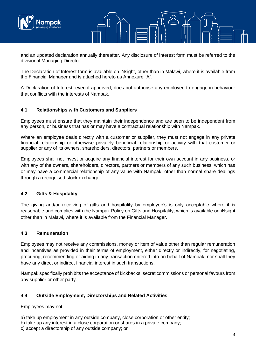

and an updated declaration annually thereafter. Any disclosure of interest form must be referred to the divisional Managing Director.

The Declaration of Interest form is available on iNsight, other than in Malawi, where it is available from the Financial Manager and is attached hereto as Annexure "A".

A Declaration of Interest, even if approved, does not authorise any employee to engage in behaviour that conflicts with the interests of Nampak.

#### **4.1 Relationships with Customers and Suppliers**

Employees must ensure that they maintain their independence and are seen to be independent from any person, or business that has or may have a contractual relationship with Nampak.

Where an employee deals directly with a customer or supplier, they must not engage in any private financial relationship or otherwise privately beneficial relationship or activity with that customer or supplier or any of its owners, shareholders, directors, partners or members.

Employees shall not invest or acquire any financial interest for their own account in any business, or with any of the owners, shareholders, directors, partners or members of any such business, which has or may have a commercial relationship of any value with Nampak, other than normal share dealings through a recognised stock exchange.

#### **4.2 Gifts & Hospitality**

The giving and/or receiving of gifts and hospitality by employee's is only acceptable where it is reasonable and complies with the Nampak Policy on Gifts and Hospitality, which is available on iNsight other than in Malawi, where it is available from the Financial Manager.

#### **4.3 Remuneration**

Employees may not receive any commissions, money or item of value other than regular remuneration and incentives as provided in their terms of employment, either directly or indirectly, for negotiating, procuring, recommending or aiding in any transaction entered into on behalf of Nampak, nor shall they have any direct or indirect financial interest in such transactions.

Nampak specifically prohibits the acceptance of kickbacks, secret commissions or personal favours from any supplier or other party.

## **4.4 Outside Employment, Directorships and Related Activities**

Employees may not:

- a) take up employment in any outside company, close corporation or other entity;
- b) take up any interest in a close corporation or shares in a private company;
- c) accept a directorship of any outside company; or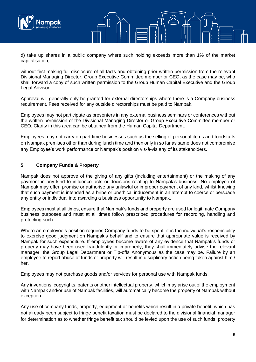

d) take up shares in a public company where such holding exceeds more than 1% of the market capitalisation;

without first making full disclosure of all facts and obtaining prior written permission from the relevant Divisional Managing Director, Group Executive Committee member or CEO, as the case may be, who shall forward a copy of such written permission to the Group Human Capital Executive and the Group Legal Advisor.

Approval will generally only be granted for external directorships where there is a Company business requirement. Fees received for any outside directorships must be paid to Nampak.

Employees may not participate as presenters in any external business seminars or conferences without the written permission of the Divisional Managing Director or Group Executive Committee member or CEO. Clarity in this area can be obtained from the Human Capital Department.

Employees may not carry on part time businesses such as the selling of personal items and foodstuffs on Nampak premises other than during lunch time and then only in so far as same does not compromise any Employee's work performance or Nampak's position vis-à-vis any of its stakeholders.

### **5. Company Funds & Property**

Nampak does not approve of the giving of any gifts (including entertainment) or the making of any payment in any kind to influence acts or decisions relating to Nampak's business. No employee of Nampak may offer, promise or authorise any unlawful or improper payment of any kind, whilst knowing that such payment is intended as a bribe or unethical inducement in an attempt to coerce or persuade any entity or individual into awarding a business opportunity to Nampak.

Employees must at all times, ensure that Nampak's funds and property are used for legitimate Company business purposes and must at all times follow prescribed procedures for recording, handling and protecting such.

Where an employee's position requires Company funds to be spent, it is the individual's responsibility to exercise good judgment on Nampak's behalf and to ensure that appropriate value is received by Nampak for such expenditure. If employees become aware of any evidence that Nampak's funds or property may have been used fraudulently or improperly, they shall immediately advise the relevant manager, the Group Legal Department or Tip-offs Anonymous as the case may be. Failure by an employee to report abuse of funds or property will result in disciplinary action being taken against him / her.

Employees may not purchase goods and/or services for personal use with Nampak funds.

Any inventions, copyrights, patents or other intellectual property, which may arise out of the employment with Nampak and/or use of Nampak facilities, will automatically become the property of Nampak without exception.

Any use of company funds, property, equipment or benefits which result in a private benefit, which has not already been subject to fringe benefit taxation must be declared to the divisional financial manager for determination as to whether fringe benefit tax should be levied upon the use of such funds, property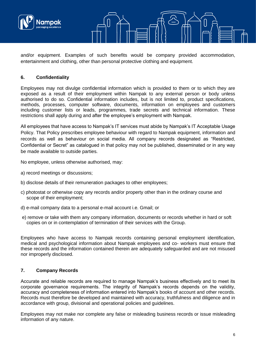



and/or equipment. Examples of such benefits would be company provided accommodation, entertainment and clothing, other than personal protective clothing and equipment.

## **6. Confidentiality**

Employees may not divulge confidential information which is provided to them or to which they are exposed as a result of their employment within Nampak to any external person or body unless authorised to do so. Confidential information includes, but is not limited to, product specifications, methods, processes, computer software, documents, information on employees and customers including customer lists or leads, programmes, trade secrets and technical information. These restrictions shall apply during and after the employee's employment with Nampak.

All employees that have access to Nampak's IT services must abide by Nampak's IT Acceptable Usage Policy. That Policy prescribes employee behaviour with regard to Nampak equipment, information and records as well as behaviour on social media. All company records designated as "Restricted, Confidential or Secret" as catalogued in that policy may not be published, disseminated or in any way be made available to outside parties.

No employee, unless otherwise authorised, may:

- a) record meetings or discussions;
- b) disclose details of their remuneration packages to other employees;
- c) photostat or otherwise copy any records and/or property other than in the ordinary course and scope of their employment;
- d) e-mail company data to a personal e-mail account i.e. Gmail; or
- e) remove or take with them any company information, documents or records whether in hard or soft copies on or in contemplation of termination of their services with the Group.

Employees who have access to Nampak records containing personal employment identification, medical and psychological information about Nampak employees and co- workers must ensure that these records and the information contained therein are adequately safeguarded and are not misused nor improperly disclosed.

#### **7. Company Records**

Accurate and reliable records are required to manage Nampak's business effectively and to meet its corporate governance requirements. The integrity of Nampak's records depends on the validity, accuracy and completeness of information entered into Nampak's books of account and other records. Records must therefore be developed and maintained with accuracy, truthfulness and diligence and in accordance with group, divisional and operational policies and guidelines.

Employees may not make nor complete any false or misleading business records or issue misleading information of any nature.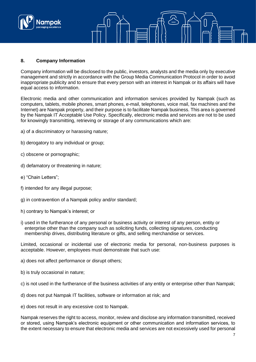

#### **8. Company Information**

Company information will be disclosed to the public, investors, analysts and the media only by executive management and strictly in accordance with the Group Media Communication Protocol in order to avoid inappropriate publicity and to ensure that every person with an interest in Nampak or its affairs will have equal access to information.

Electronic media and other communication and information services provided by Nampak (such as computers, tablets, mobile phones, smart phones, e-mail, telephones, voice mail, fax machines and the Internet) are Nampak property, and their purpose is to facilitate Nampak business. This area is governed by the Nampak IT Acceptable Use Policy. Specifically, electronic media and services are not to be used for knowingly transmitting, retrieving or storage of any communications which are:

- a) of a discriminatory or harassing nature;
- b) derogatory to any individual or group;
- c) obscene or pornographic;
- d) defamatory or threatening in nature;
- e) "Chain Letters";
- f) intended for any illegal purpose;
- g) in contravention of a Nampak policy and/or standard;
- h) contrary to Nampak's interest; or
- i) used in the furtherance of any personal or business activity or interest of any person, entity or enterprise other than the company such as soliciting funds, collecting signatures, conducting membership drives, distributing literature or gifts, and selling merchandise or services.

Limited, occasional or incidental use of electronic media for personal, non-business purposes is acceptable. However, employees must demonstrate that such use:

a) does not affect performance or disrupt others;

- b) is truly occasional in nature;
- c) is not used in the furtherance of the business activities of any entity or enterprise other than Nampak;
- d) does not put Nampak IT facilities, software or information at risk; and

e) does not result in any excessive cost to Nampak.

Nampak reserves the right to access, monitor, review and disclose any information transmitted, received or stored, using Nampak's electronic equipment or other communication and information services, to the extent necessary to ensure that electronic media and services are not excessively used for personal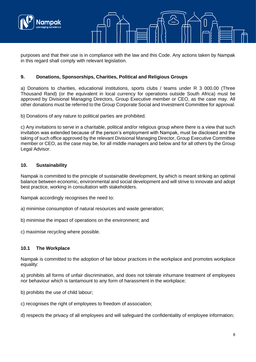



purposes and that their use is in compliance with the law and this Code. Any actions taken by Nampak in this regard shall comply with relevant legislation.

### **9. Donations, Sponsorships, Charities, Political and Religious Groups**

a) Donations to charities, educational institutions, sports clubs / teams under R 3 000.00 (Three Thousand Rand) (or the equivalent in local currency for operations outside South Africa) must be approved by Divisional Managing Directors, Group Executive member or CEO, as the case may. All other donations must be referred to the Group Corporate Social and Investment Committee for approval.

b) Donations of any nature to political parties are prohibited.

c) Any invitations to serve in a charitable, political and/or religious group where there is a view that such invitation was extended because of the person's employment with Nampak, must be disclosed and the taking of such office approved by the relevant Divisional Managing Director, Group Executive Committee member or CEO, as the case may be, for all middle managers and below and for all others by the Group Legal Advisor.

#### **10. Sustainability**

Nampak is committed to the principle of sustainable development, by which is meant striking an optimal balance between economic, environmental and social development and will strive to innovate and adopt best practice, working in consultation with stakeholders.

Nampak accordingly recognises the need to:

- a) minimise consumption of natural resources and waste generation;
- b) minimise the impact of operations on the environment; and

c) maximise recycling where possible.

#### **10.1 The Workplace**

Nampak is committed to the adoption of fair labour practices in the workplace and promotes workplace equality:

a) prohibits all forms of unfair discrimination, and does not tolerate inhumane treatment of employees nor behaviour which is tantamount to any form of harassment in the workplace;

b) prohibits the use of child labour;

c) recognises the right of employees to freedom of association;

d) respects the privacy of all employees and will safeguard the confidentiality of employee information;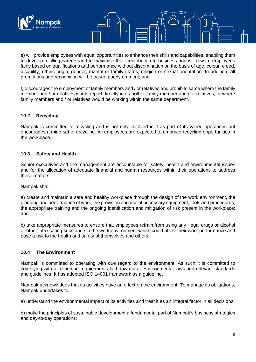

e) will provide employees with equal opportunities to enhance their skills and capabilities, enabling them to develop fulfilling careers and to maximise their contribution to business and will reward employees fairly based on qualifications and performance without discrimination on the basis of age, colour, creed, disability, ethnic origin, gender, marital or family status, religion or sexual orientation. In addition, all promotions and recognition will be based purely on merit; and

f) discourages the employment of family members and / or relatives and prohibits same where the family member and / or relatives would report directly into another family member and / or relatives, or where family members and / or relatives would be working within the same department.

### **10.2 Recycling**

Nampak is committed to recycling and is not only involved in it as part of its varied operations but encourages a mind-set of recycling. All employees are expected to embrace recycling opportunities in the workplace.

#### **10.3 Safety and Health**

Senior executives and line management are accountable for safety, health and environmental issues and for the allocation of adequate financial and human resources within their operations to address these matters.

Nampak shall:

a) create and maintain a safe and healthy workplace through the design of the work environment, the planning and performance of work, the provision and use of necessary equipment, tools and procedures, the appropriate training and the ongoing identification and mitigation of risk present in the workplace; and

b) take appropriate measures to ensure that employees refrain from using any illegal drugs or alcohol or other intoxicating substance in the work environment which could affect their work performance and pose a risk to the health and safety of themselves and others.

#### **10.4 The Environment**

Nampak is committed to operating with due regard to the environment. As such it is committed to complying with all reporting requirements laid down in all Environmental laws and relevant standards and guidelines. It has adopted ISO 14001 framework as a guideline.

Nampak acknowledges that its activities have an effect on the environment. To manage its obligations, Nampak undertakes to:

a) understand the environmental impact of its activities and treat it as an integral factor in all decisions;

b) make the principles of sustainable development a fundamental part of Nampak's business strategies and day-to-day operations;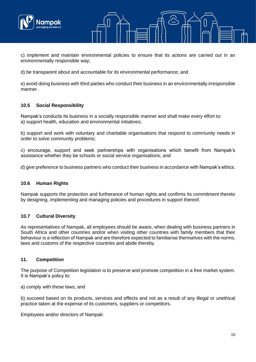



c) implement and maintain environmental policies to ensure that its actions are carried out in an environmentally responsible way;

d) be transparent about and accountable for its environmental performance; and

e) avoid doing business with third parties who conduct their business in an environmentally irresponsible manner.

#### **10.5 Social Responsibility**

Nampak's conducts its business in a socially responsible manner and shall make every effort to: a) support health, education and environmental initiatives;

b) support and work with voluntary and charitable organisations that respond to community needs in order to solve community problems;

c) encourage, support and seek partnerships with organisations which benefit from Nampak's assistance whether they be schools or social service organisations; and

d) give preference to business partners who conduct their business in accordance with Nampak's ethics.

#### **10.6 Human Rights**

Nampak supports the protection and furtherance of human rights and confirms its commitment thereto by designing, implementing and managing policies and procedures in support thereof.

#### **10.7 Cultural Diversity**

As representatives of Nampak, all employees should be aware, when dealing with business partners in South Africa and other countries and/or when visiting other countries with family members that their behaviour is a reflection of Nampak and are therefore expected to familiarise themselves with the norms, laws and customs of the respective countries and abide thereby.

#### **11. Competition**

The purpose of Competition legislation is to preserve and promote competition in a free market system. It is Nampak's policy to:

a) comply with these laws; and

b) succeed based on its products, services and effects and not as a result of any illegal or unethical practice taken at the expense of its customers, suppliers or competitors.

Employees and/or directors of Nampak: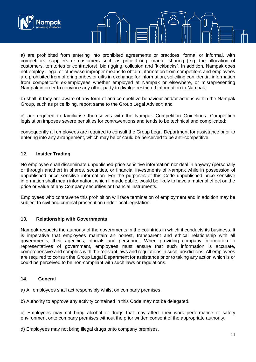

a) are prohibited from entering into prohibited agreements or practices, formal or informal, with competitors, suppliers or customers such as price fixing, market sharing (e.g. the allocation of customers, territories or contractors), bid rigging, collusion and "kickbacks". In addition, Nampak does not employ illegal or otherwise improper means to obtain information from competitors and employees are prohibited from offering bribes or gifts in exchange for information, soliciting confidential information from competitor's ex-employees whether employed at Nampak or elsewhere, or misrepresenting Nampak in order to convince any other party to divulge restricted information to Nampak;

b) shall, if they are aware of any form of anti-competitive behaviour and/or actions within the Nampak Group, such as price fixing, report same to the Group Legal Advisor; and

c) are required to familiarise themselves with the Nampak Competition Guidelines. Competition legislation imposes severe penalties for contraventions and tends to be technical and complicated;

consequently all employees are required to consult the Group Legal Department for assistance prior to entering into any arrangement, which may be or could be perceived to be anti-competitive.

#### **12. Insider Trading**

No employee shall disseminate unpublished price sensitive information nor deal in anyway (personally or through another) in shares, securities, or financial investments of Nampak while in possession of unpublished price sensitive information. For the purposes of this Code unpublished price sensitive information shall mean information, which if made public, would be likely to have a material effect on the price or value of any Company securities or financial instruments.

Employees who contravene this prohibition will face termination of employment and in addition may be subject to civil and criminal prosecution under local legislation.

#### **13. Relationship with Governments**

Nampak respects the authority of the governments in the countries in which it conducts its business. It is imperative that employees maintain an honest, transparent and ethical relationship with all governments, their agencies, officials and personnel. When providing company information to representatives of government, employees must ensure that such information is accurate, comprehensive and complies with the relevant laws and regulations in such jurisdictions. All employees are required to consult the Group Legal Department for assistance prior to taking any action which is or could be perceived to be non-compliant with such laws or regulations.

#### **14. General**

a) All employees shall act responsibly whilst on company premises.

b) Authority to approve any activity contained in this Code may not be delegated.

c) Employees may not bring alcohol or drugs that may affect their work performance or safety environment onto company premises without the prior written consent of the appropriate authority.

d) Employees may not bring illegal drugs onto company premises.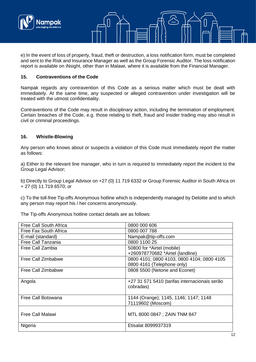

e) In the event of loss of property, fraud, theft or destruction, a loss notification form, must be completed and sent to the Risk and Insurance Manager as well as the Group Forensic Auditor. The loss notification report is available on iNsight, other than in Malawi, where it is available from the Financial Manager.

#### **15. Contraventions of the Code**

Nampak regards any contravention of this Code as a serious matter which must be dealt with immediately. At the same time, any suspected or alleged contravention under investigation will be treated with the utmost confidentiality.

Contraventions of the Code may result in disciplinary action, including the termination of employment. Certain breaches of the Code, e.g. those relating to theft, fraud and insider trading may also result in civil or criminal proceedings.

#### **16. Whistle-Blowing**

Any person who knows about or suspects a violation of this Code must immediately report the matter as follows:

a) Either to the relevant line manager, who in turn is required to immediately report the incident to the Group Legal Advisor;

b) Directly to Group Legal Advisor on +27 (0) 11 719 6332 or Group Forensic Auditor in South Africa on + 27 (0) 11 719 6570; or

c) To the toll-free Tip-offs Anonymous hotline which is independently managed by Deloitte and to which any person may report his / her concerns anonymously.

The Tip-offs Anonymous hotline contact details are as follows:

| Free Call South Africa  | 0800 000 606                                  |
|-------------------------|-----------------------------------------------|
| Free Fax South Africa   | 0800 007 788                                  |
| E-mail (standard)       | Nampak@tip-offs.com                           |
| Free Call Tanzania      | 0800 1100 25                                  |
| Free Call Zambia        | 50800 for *Airtel (mobile)                    |
|                         | +260978770682 *Airtel (landline)              |
| Free Call Zimbabwe      | 0800 4101; 0800 4103; 0800 4104; 0800 4105    |
|                         | 0800 4161 (Telephone only)                    |
| Free Call Zimbabwe      | 0808 5500 (Netone and Econet)                 |
|                         |                                               |
| Angola                  | +27 31 571 5410 (tarifas internacionais serão |
|                         | cobradas)                                     |
|                         |                                               |
| Free Call Botswana      | 1144 (Orange); 1145, 1146; 1147; 1148         |
|                         | 71119602 (Moscom)                             |
|                         |                                               |
| <b>Free Call Malawi</b> | MTL 8000 0847; ZAIN TNM 847                   |
|                         |                                               |
| Nigeria                 | Etisalat 8099937319                           |
|                         |                                               |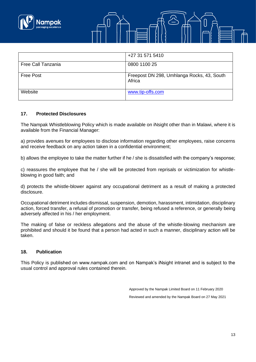



|                    | +27 31 571 5410                                      |
|--------------------|------------------------------------------------------|
| Free Call Tanzania | 0800 1100 25                                         |
| <b>Free Post</b>   | Freepost DN 298, Umhlanga Rocks, 43, South<br>Africa |
| Website            | www.tip-offs.com                                     |

#### **17. Protected Disclosures**

The Nampak Whistleblowing Policy which is made available on iNsight other than in Malawi, where it is available from the Financial Manager:

a) provides avenues for employees to disclose information regarding other employees, raise concerns and receive feedback on any action taken in a confidential environment;

b) allows the employee to take the matter further if he / she is dissatisfied with the company's response;

c) reassures the employee that he / she will be protected from reprisals or victimization for whistleblowing in good faith; and

d) protects the whistle-blower against any occupational detriment as a result of making a protected disclosure.

Occupational detriment includes dismissal, suspension, demotion, harassment, intimidation, disciplinary action, forced transfer, a refusal of promotion or transfer, being refused a reference, or generally being adversely affected in his / her employment.

The making of false or reckless allegations and the abuse of the whistle-blowing mechanism are prohibited and should it be found that a person had acted in such a manner, disciplinary action will be taken.

#### **18. Publication**

This Policy is published on www.nampak.com and on Nampak's iNsight intranet and is subject to the usual control and approval rules contained therein.

> Approved by the Nampak Limited Board on 11 February 2020 Reviewed and amended by the Nampak Board on 27 May 2021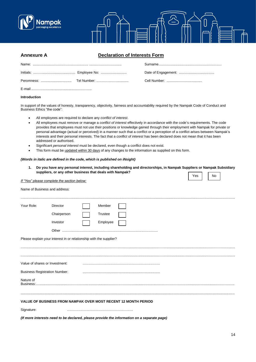



| <b>Annexure A</b> | <b>Declaration of Interests Form</b> |  |  |  |  |
|-------------------|--------------------------------------|--|--|--|--|
|                   |                                      |  |  |  |  |
|                   |                                      |  |  |  |  |
|                   |                                      |  |  |  |  |
|                   |                                      |  |  |  |  |

#### **Introduction**

In support of the values of honesty, transparency, objectivity, fairness and accountability required by the Nampak Code of Conduct and Business Ethics "the code":

- All employees are required to declare any *conflict of interest*.
- All employees must remove or manage a *conflict of interest* effectively in accordance with the code's requirements. The code provides that employees must not use their positions or knowledge gained through their employment with Nampak for private or personal advantage (actual or perceived) in a manner such that a conflict or a perception of a conflict arises between Nampak's interests and their personal interests. The fact that a *conflict of interest* has been declared does not mean that it has been addressed or authorised.
- Significant *personal interest* must be declared, even though a conflict does not exist.
- This form must be updated within 30 days of any changes to the information as supplied on this form.

#### *(Words in italic are defined in the code, which is published on iNsight)*

**1. Do you have any personal interest, including shareholding and directorships, in Nampak Suppliers or Nampak Subsidiary suppliers, or any other business that deals with Nampak?**  $\sqrt{Y_{\text{ES}}}$   $\sqrt{N_0}$ 

| If "Yes" please complete the section below: |                                                                                            |          |  |  |  |  |  |  |  |
|---------------------------------------------|--------------------------------------------------------------------------------------------|----------|--|--|--|--|--|--|--|
| Name of Business and address:               |                                                                                            |          |  |  |  |  |  |  |  |
| Your Role:                                  | <b>Director</b>                                                                            | Member   |  |  |  |  |  |  |  |
|                                             | Chairperson                                                                                | Trustee  |  |  |  |  |  |  |  |
|                                             | Investor                                                                                   | Employee |  |  |  |  |  |  |  |
|                                             | Other                                                                                      |          |  |  |  |  |  |  |  |
|                                             | Please explain your interest in or relationship with the supplier?                         |          |  |  |  |  |  |  |  |
|                                             | Value of shares or Investment:                                                             |          |  |  |  |  |  |  |  |
|                                             | <b>Business Registration Number:</b>                                                       |          |  |  |  |  |  |  |  |
| Nature of<br>Business:                      |                                                                                            |          |  |  |  |  |  |  |  |
|                                             | VALUE OF BUSINESS FROM NAMPAK OVER MOST RECENT 12 MONTH PERIOD                             |          |  |  |  |  |  |  |  |
| Signature:                                  |                                                                                            |          |  |  |  |  |  |  |  |
|                                             | (If more interests need to be declared, please provide the information on a separate page) |          |  |  |  |  |  |  |  |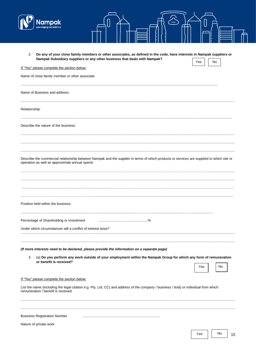

| - |  |
|---|--|
|   |  |
|   |  |

| Do any of your close family members or other associates, as defined in the code, have interests in Nampak suppliers or<br>2.<br>Nampak Subsidiary suppliers or any other business that deals with Nampak? | Yes | No |
|-----------------------------------------------------------------------------------------------------------------------------------------------------------------------------------------------------------|-----|----|
| If "Yes" please complete the section below:                                                                                                                                                               |     |    |
| Name of close family member or other associate                                                                                                                                                            |     |    |
| Name of Business and address:                                                                                                                                                                             |     |    |
| Relationship:                                                                                                                                                                                             |     |    |
| Describe the nature of the business:                                                                                                                                                                      |     |    |
| Describe the commercial relationship between Nampak and the supplier in terms of which products or services are supplied to which site or                                                                 |     |    |
| operation as well as approximate annual spend:                                                                                                                                                            |     |    |
| Position held within the business:                                                                                                                                                                        |     |    |
| Percentage of Shareholding or Investment                                                                                                                                                                  |     |    |
| Under which circumstances will a conflict of interest arise?                                                                                                                                              |     |    |
| (If more interests need to be declared, please provide the information on a separate page)                                                                                                                |     |    |
| (a) Do you perform any work outside of your employment within the Nampak Group for which any form of remuneration<br>3.<br>or benefit is received?                                                        |     |    |
|                                                                                                                                                                                                           | Yes | No |
| If "Yes" please complete the section below:                                                                                                                                                               |     |    |
| List the name (including the legal citation e.g. Pty, Ltd, CC) and address of the company / business / body or individual from which<br>remuneration / benefit is received:                               |     |    |
|                                                                                                                                                                                                           |     |    |
| <b>Business Registration Number</b>                                                                                                                                                                       |     |    |
| Nature of private work                                                                                                                                                                                    |     |    |

 $\mathsf{No}$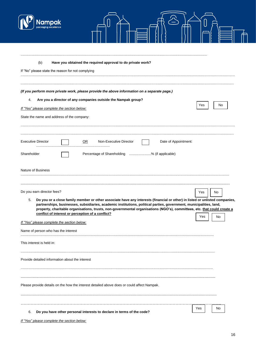| Have you obtained the required approval to do private work?<br>(b)                                                                                                                                                                                                                                                                                                                                                                                                                          |
|---------------------------------------------------------------------------------------------------------------------------------------------------------------------------------------------------------------------------------------------------------------------------------------------------------------------------------------------------------------------------------------------------------------------------------------------------------------------------------------------|
| If "No" please state the reason for not complying                                                                                                                                                                                                                                                                                                                                                                                                                                           |
| (If you perform more private work, please provide the above information on a separate page.)<br>Are you a director of any companies outside the Nampak group?<br>4.<br>No<br>Yes<br>If "Yes" please complete the section below:<br>State the name and address of the company:                                                                                                                                                                                                               |
| <b>Executive Director</b><br>$\overline{\mathsf{OR}}$<br>Non-Executive Director<br>Date of Appointment:<br>Shareholder<br>Percentage of Shareholding % (if applicable)<br><b>Nature of Business</b>                                                                                                                                                                                                                                                                                         |
| Do you earn director fees?<br>No<br>Yes<br>Do you or a close family member or other associate have any interests (financial or other) in listed or unlisted companies,<br>partnerships, businesses, subsidiaries, academic institutions, political parties, government, municipalities, land,<br>property, charitable organisations, trusts, non-governmental organisations (NGO's), committees, etc. that could create a<br>conflict of interest or perception of a conflict?<br>Yes<br>No |
| If "Yes" please complete the section below:<br>Name of person who has the interest<br>This interest is held in:                                                                                                                                                                                                                                                                                                                                                                             |
| Provide detailed information about the interest                                                                                                                                                                                                                                                                                                                                                                                                                                             |
| Please provide details on the how the interest detailed above does or could affect Nampak.                                                                                                                                                                                                                                                                                                                                                                                                  |
| No.<br>Yes<br>Do you have other personal interests to declare in terms of the code?<br>6.                                                                                                                                                                                                                                                                                                                                                                                                   |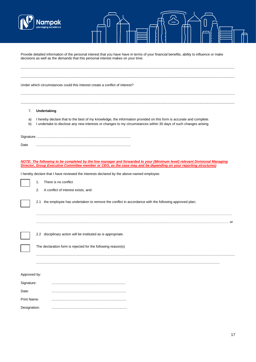

|                            | iackaalna excellen                                                                                                                                                                                                                                    |
|----------------------------|-------------------------------------------------------------------------------------------------------------------------------------------------------------------------------------------------------------------------------------------------------|
|                            | Provide detailed information of the personal interest that you have have in terms of your financial benefits, ability to influence or make<br>decisions as well as the demands that this personal interest makes on your time.                        |
|                            | Under which circumstances could this interest create a conflict of interest?                                                                                                                                                                          |
| 7.<br>a)<br>b)             | Undertaking<br>I hereby declare that to the best of my knowledge, the information provided on this form is accurate and complete.<br>I undertake to disclose any new interests or changes to my circumstances within 30 days of such changes arising. |
| Date                       |                                                                                                                                                                                                                                                       |
|                            | NOTE: The following to be completed by the line manager and forwarded to your (Minimum level) relevant Divisional Managing<br>Director, Group Executive Committee member or CEO, as the case may and be depending on your reporting structures)       |
|                            | I hereby declare that I have reviewed the interests declared by the above-named employee.                                                                                                                                                             |
|                            | There is no conflict<br>1.<br>A conflict of interest exists, and:<br>2.                                                                                                                                                                               |
|                            | 2.1 the employee has undertaken to remove the conflict in accordance with the following approved plan;                                                                                                                                                |
|                            |                                                                                                                                                                                                                                                       |
|                            | 2.2 disciplinary action will be instituted as is appropriate.                                                                                                                                                                                         |
|                            | The declaration form is rejected for the following reason(s)                                                                                                                                                                                          |
|                            |                                                                                                                                                                                                                                                       |
| Approved by:<br>Signature: |                                                                                                                                                                                                                                                       |
| Date:                      |                                                                                                                                                                                                                                                       |
| Print Name:                |                                                                                                                                                                                                                                                       |
| Designation:               |                                                                                                                                                                                                                                                       |